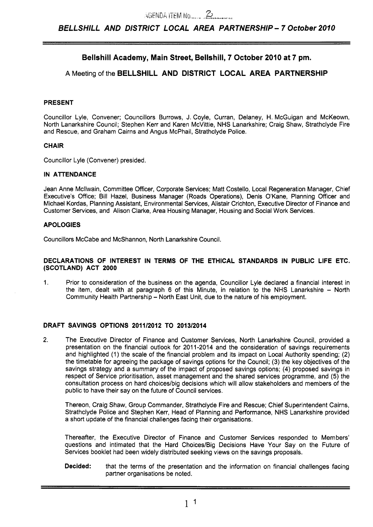# **Bellshill Academy, Main Street, Bellshill, 7 October 2010 at 7 pm.**

# **A** Meeting of the **BELLSHILL AND DISTRICT LOCAL AREA PARTNERSHIP**

### **PRESENT**

Councillor Lyle, Convener; Councillors Burrows, J. Coyle, Curran, Delaney, H. McGuigan and McKeown, North Lanarkshire Council; Stephen Kerr and Karen McVittie, NHS Lanarkshire; Craig Shaw, Strathclyde Fire and Rescue, and Graham Cairns and Angus McPhail, Strathclyde Police.

### **CHAIR**

Councillor Lyle (Convener) presided.

### **IN ATTENDANCE**

Jean Anne Mcllwain, Committee Officer, Corporate Services; Matt Costello, Local Regeneration Manager, Chief Executive's Office; Bill Hazel, Business Manager (Roads Operations), Denis O'Kane, Planning Officer and Michael Kordas, Planning Assistant, Environmental Services, Alistair Crichton, Executive Director of Finance and Customer Services, and Alison Clarke, Area Housing Manager, Housing and Social Work Services.

### **APOLOGIES**

Councillors McCabe and McShannon, North Lanarkshire Council.

### **DECLARATIONS OF INTEREST IN TERMS OF THE ETHICAL STANDARDS IN PUBLIC LIFE ETC. (SCOTLAND) ACT 2000**

1. Prior to consideration of the business on the agenda, Councillor Lyle declared a financial interest in the item, dealt with at paragraph **6** of this Minute, in relation to the NHS Lanarkshire - North Community Health Partnership - North East Unit, due to the nature of his employment.

### **DRAFT SAVINGS OPTIONS 2011/2012 TO 2013/2014**

2. The Executive Director of Finance and Customer Services, North Lanarkshire Council, provided a presentation on the financial outlook for 2011-2014 and the consideration of savings requirements and highlighted (1) the scale of the financial problem and its impact on Local Authority spending; (2) the timetable for agreeing the package of savings options for the Council; (3) the key objectives of the savings strategy and a summary of the impact of proposed savings options; (4) proposed savings in respect of Service prioritisation, asset management and the shared services programme, and **(5)** the consultation process on hard choiceslbig decisions which will allow stakeholders and members of the public to have their say on the future of Council services.

Thereon, Craig Shaw, Group Commander, Strathclyde Fire and Rescue; Chief Superintendent Cairns, Strathclyde Police and Stephen Kerr, Head of Planning and Performance, NHS Lanarkshire provided a short update of the financial challenges facing their organisations.

Thereafter, the Executive Director of Finance and Customer Services responded to Members' questions and intimated that the Hard Choices/Big Decisions Have Your Say on the Future of Services booklet had been widely distributed seeking views on the savings proposals.

### **Decided:** that the terms of the presentation and the information on financial challenges facing partner organisations be noted.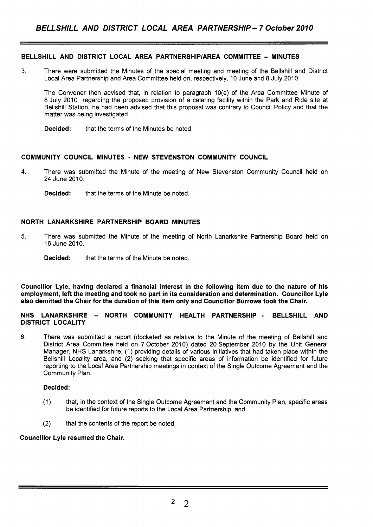## BELLSHILL AND DISTRICT LOCAL AREA PARTNERSHIP/AREA COMMITTEE - MINUTES

**3.** There were submitted the Minutes of the special meeting and meeting of the Bellshill and District Local Area Partnership and Area Committee held on, respectively, 10 June and 8 July 2010.

The Convener then advised that, in relation to paragraph 10(e) of the Area Committee Minute of 8 July 2010 regarding the proposed provision of a catering facility within the Park and Ride site at Bellshill Station, he had been advised that this proposal was contrary to Council Policy and that the matter was being investigated.

Decided: that the terms of the Minutes be noted.

### COMMUNITY COUNCIL MINUTES - NEW STEVENSTON COMMUNITY COUNCIL

- **4.** There was submitted the Minute of the meeting of New Stevenston Community Council held on 24 June 2010.
	- Decided: that the terms of the Minute be noted.

### NORTH LANARKSHIRE PARTNERSHIP BOARD MINUTES

- **5.** There was submitted the Minute of the meeting of North Lanarkshire Partnership Board held on 16 June 2010.
	- Decided: that the terms of the Minute be noted.

Councillor Lyle, having declared a financial interest in the following item due to the nature of his employment, left the meeting and took no part in its consideration and determination. Councillor Lyle also demitted the Chair for the duration of this item only and Councillor Burrows took the Chair.

NHS LANARKSHIRE - NORTH COMMUNITY HEALTH PARTNERSHIP - BELLSHILL AND DISTRICT LOCALITY

**6.** There was submitted a report (docketed as relative to the Minute of the meeting of Bellshill and District Area Committee held on 7 October 2010) dated 20 September 2010 by the Unit General Manager, NHS Lanarkshire, (1) providing details of various initiatives that had taken place within the Bellshill Locality area, and (2) seeking that specific areas of information be identified for future reporting to the Local Area Partnership meetings in context of the Single Outcome Agreement and the Community Plan.

### Decided:

- (1) that, in the context of the Single Outcome Agreement and the Community Plan, specific areas be identified for future reports to the Local Area Partnership, and
- (2) that the contents of the report be noted.

#### Councillor Lyle resumed the Chair.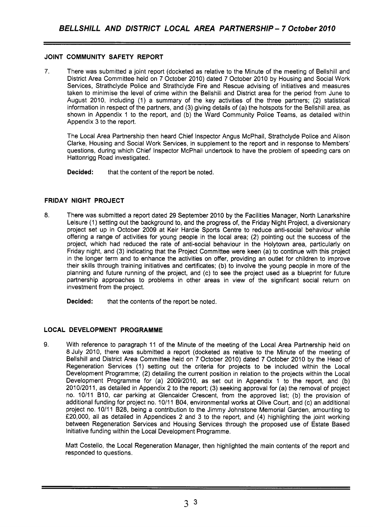# **JOINT COMMUNITY SAFETY REPORT**

7. There was submitted a joint report (docketed as relative to the Minute of the meeting of Bellshill and District Area Committee held on 7 October **2010)** dated 7 October **2010** by Housing and Social Work Services, Strathclyde Police and Strathclyde Fire and Rescue advising of initiatives and measures taken to minimise the level of crime within the Bellshill and District area for the period from June to August **2010,** including **(1)** a summary of the key activities of the three partners; **(2)** statistical information in respect of the partners, and (3) giving details of (a) the hotspots for the Bellshill area, as shown in Appendix **1** to the report, and (b) the Ward Community Police Teams, as detailed within Appendix 3 to the report.

The Local Area Partnership then heard Chief Inspector Angus McPhail, Strathclyde Police and Alison Clarke, Housing and Social Work Services, in supplement to the report and in response to Members' questions, during which Chief Inspector McPhail undertook to have the problem of speeding cars on Hattonrigg Road investigated.

**Decided:** that the content of the report be noted.

# **FRIDAY NIGHT PROJECT**

**8.** There was submitted a report dated **29** September **2010** by the Facilities Manager, North Lanarkshire Leisure **(1)** setting out the background to, and the progress of, the Friday Night Project, a diversionary project set up in October **2009** at Keir Hardie Sports Centre to reduce anti-social behaviour while offering a range of activities for young people in the local area; **(2)** pointing out the success of the project, which had reduced the rate of anti-social behaviour in the Holytown area, particularly on Friday night, and (3) indicating that the Project Committee were keen (a) to continue with this project in the longer term and to enhance the activities on offer, providing an outlet for children to improve their skills through training initiatives and certificates; (b) to involve the young people in more of the planning and future running of the project, and (c) to see the project used as a blueprint for future partnership approaches to problems in other areas in view of the significant social return on investment from the project.

**Decided:** that the contents of the report be noted.

# **LOCAL DEVELOPMENT PROGRAMME**

**9.** With reference to paragraph **11** of the Minute of the meeting of the Local Area Partnership held on **8** July **2010,** there was submitted a report (docketed as relative to the Minute of the meeting of Bellshill and District Area Committee held on 7 October **2010)** dated 7 October **2010** by the Head of Regeneration Services **(1)** setting out the criteria for projects to be included within the Local Development Programme; **(2)** detailing the current position in relation to the projects within the Local Development Programme for (a) **2009/2010,** as set out in Appendix **1** to the report, and (b) **2010/2011,** as detailed in Appendix **2** to the report; (3) seeking approval for (a) the removal of project no. **1011 1** B10, car parking at Glencalder Crescent, from the approved list; (b) the provision of additional funding for project no. **10/11 804,** environmental works at Olive Court, and (c) an additional project no. **10/11 B28,** being a contribution to the Jimmy Johnstone Memorial Garden, amounting to **f20,000,** all as detailed in Appendices **2** and 3 to the report, and (4) highlighting the joint working between Regeneration Services and Housing Services through the proposed use of Estate Based Initiative funding within the Local Development Programme.

Matt Costello, the Local Regeneration Manager, then highlighted the main contents of the report and responded to questions.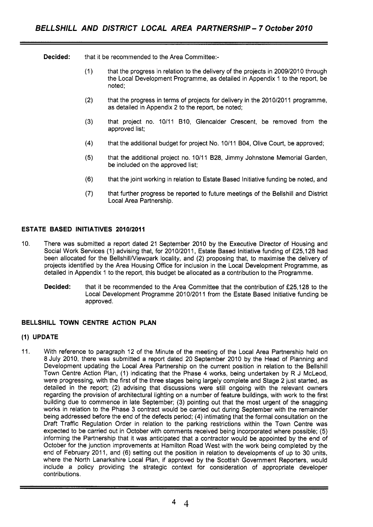**Decided:** that it be recommended to the Area Committee:-

- that the progress in relation to the delivery of the projects in **2009/2010** through  $(1)$ the Local Development Programme, as detailed in Appendix **1** to the report, be noted;
- $(2)$ that the progress in terms of projects for delivery in the **2010/2011** programme, as detailed in Appendix 2 to the report, be noted;
- $(3)$ that project no. **10111** B10, Glencalder Crescent, be removed from the approved list;
- $(4)$ that the additional budget for project No. 10/11 B04, Olive Court, be approved;
- $(5)$ that the additional project no. **1011 1 B28,** Jimmy Johnstone Memorial Garden, be included on the approved list;
- $(6)$ that the joint working in relation to Estate Based Initiative funding be noted, and
- $(7)$ that further progress be reported to future meetings of the Bellshill and District Local Area Partnership.

### **ESTATE BASED INITIATIVES 2010/2011**

- **10.** There was submitted a report dated **21** September **2010** by the Executive Director of Housing and Social Work Services **(1)** advising that, for **201012011,** Estate Based Initiative funding of **f25,128** had been allocated for the BellshillNiewpark locality, and **(2)** proposing that, to maximise the delivery of projects identified by the Area Housing Office for inclusion in the Local Development Programme, as detailed in Appendix 1 to the report, this budget be allocated as a contribution to the Programme.
	- **Decided:** that it be recommended to the Area Committee that the contribution of **f25,128** to the Local Development Programme **201 0/2011** from the Estate Based Initiative funding be approved.

### **BELLSHILL TOWN CENTRE ACTION PLAN**

### **(1) UPDATE**

**11,** With reference to paragraph **12** of the Minute of the meeting of the Local Area Partnership held on **8** July **2010,** there was submitted a report dated **20** September **2010** by the Head of Planning and Development updating the Local Area Partnership on the current position in relation to the Bellshill Town Centre Action Plan, **(1)** indicating that the Phase 4 works, being undertaken by R J McLeod, were progressing, with the first of the three stages being largely complete and Stage **2** just started, as detailed in the report; (2) advising that discussions were still ongoing with the relevant owners regarding the provision of architectural lighting on a number of feature buildings, with work to the first building due to commence in late September; (3) pointing out that the most urgent of the snagging works in relation to the Phase 3 contract would be carried out during September with the remainder being addressed before the end of the defects period; (4) intimating that the formal consultation on the Draft Traffic Regulation Order in relation to the parking restrictions within the Town Centre was expected to be carried out in October with comments received being incorporated where possible; (5) informing the Partnership that it was anticipated that a contractor would be appointed by the end of October for the junction improvements at Hamilton Road West with the work being completed by the end of February 2011, and (6) setting out the position in relation to developments of up to 30 units, where the North Lanarkshire Local Plan, if approved by the Scottish Government Reporters, would include a policy providing the strategic context for consideration of appropriate developer contributions.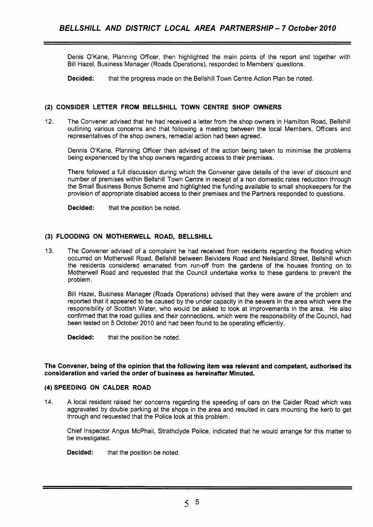Denis O'Kane, Planning Officer, then highlighted the main points of the report and together with Bill Hazel, Business Manager (Roads Operations), responded to Members' questions.

**Decided:** that the progress made on the Bellshill Town Centre Action Plan be noted.

## **(2) CONSIDER LETTER FROM BELLSHILL TOWN CENTRE SHOP OWNERS**

12. The Convener advised that he had received a letter from the shop owners in Hamilton Road, Bellshill outlining various concerns and that following a meeting between the local Members, Officers and representatives of the shop owners, remedial action had been agreed.

Dennis O'Kane, Planning Officer then advised of the action being taken to minimise the problems being experienced by the shop owners regarding access to their premises.

There followed a full discussion during which the Convener gave details of the level of discount and number of premises within Bellshill Town Centre in receipt of a non domestic rates reduction through the Small Business Bonus Scheme and highlighted the funding available to small shopkeepers for the provision of appropriate disabled access to their premises and the Partners responded to questions.

**Decided:** that the position be noted.

## **(3) FLOODING ON MOTHERWELL ROAD, BELLSHILL**

13. The Convener advised of a complaint he had received from residents regarding the flooding which occurred on Motherwell Road, Bellshill between Belvidere Road and Neilsland Street, Bellshill which the residents considered emanated from run-off from the gardens of the houses fronting on to Motherwell Road and requested that the Council undertake works to these gardens to prevent the problem.

Bill Hazel, Business Manager (Roads Operations) advised that they were aware of the problem and reported that it appeared to be caused by the under capacity in the sewers in the area which were the responsibility of Scottish Water, who would be asked to look at improvements in the area. He also confirmed that the road gullies and their connections, which were the responsibility of the Council, had been tested on 5 October 2010 and had been found to be operating efficiently.

**Decided:** that the position be noted.

### **The Convener, being of the opinion that the following item was relevant and competent, authorised its consideration and varied the order of business as hereinafter Minuted.**

## **(4) SPEEDING ON CALDER ROAD**

14. A local resident raised her concerns regarding the speeding of cars on the Calder Road which was aggravated by double parking at the shops in the area and resulted in cars mounting the kerb to get through and requested that the Police look at this problem.

Chief Inspector Angus McPhail, Strathclyde Police, indicated that he would arrange for this matter to be investigated.

**Decided:** that the position be noted.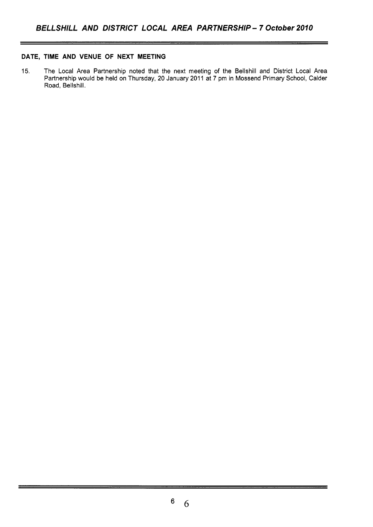### **DATE, TIME AND VENUE OF NEXT MEETING**

15. The Local Area Partnership noted that the next meeting of the Bellshill and District Local Area Partnership would be held on Thursday, 20 January 2011 at 7 pm in Mossend Primary School, Calder Road. Bellshill.

 $6\phantom{a}$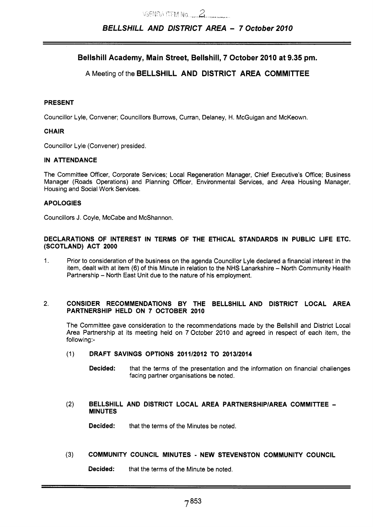# **Bellshill Academy, Main Street, Bellshill, 7 October 2010 at 9.35 pm.**

# **A** Meeting of the **BELLSHILL AND DISTRICT AREA COMMITTEE**

### **PRESENT**

Councillor Lyle, Convener; Councillors Burrows, Curran, Delaney, H. McGuigan and McKeown.

### **CHAIR**

Councillor Lyle (Convener) presided.

## **IN ATTENDANCE**

The Committee Officer, Corporate Services; Local Regeneration Manager, Chief Executive's Office; Business Manager (Roads Operations) and Planning Officer, Environmental Services, and Area Housing Manager, Housing and Social Work Services.

### **APOLOGIES**

Councillors J. Coyle, McCabe and McShannon.

### **DECLARATIONS OF INTEREST IN TERMS OF THE ETHICAL STANDARDS IN PUBLIC LIFE ETC. (SCOTLAND) ACT 2000**

1. Prior to consideration of the business on the agenda Councillor Lyle declared a financial interest in the item, dealt with at item (6) of this Minute in relation to the NHS Lanarkshire - North Community Health Partnership - North East Unit due to the nature of his employment.

### 2. **CONSIDER RECOMMENDATIONS BY THE BELLSHILL AND DISTRICT LOCAL AREA PARTNERSHIP HELD ON 7 OCTOBER 2010**

The Committee gave consideration to the recommendations made by the Bellshill and District Local Area Partnership at its meeting held on 7 October 2010 and agreed in respect of each item, the following:-

(1) **DRAFT SAVINGS OPTIONS 201112012 TO 2013/2014** 

**Decided:** that the terms of the presentation and the information on financial challenges facing partner organisations be noted.

### (2) **BELLSHILL AND DISTRICT LOCAL AREA PARTNERSHlPlAREA COMMITTEE** - **MINUTES**

**Decided:** that the terms of the Minutes be noted.

## **(3) COMMUNITY COUNCIL MINUTES** - **NEW STEVENSTON COMMUNITY COUNCIL**

**Decided:** that the terms of the Minute be noted.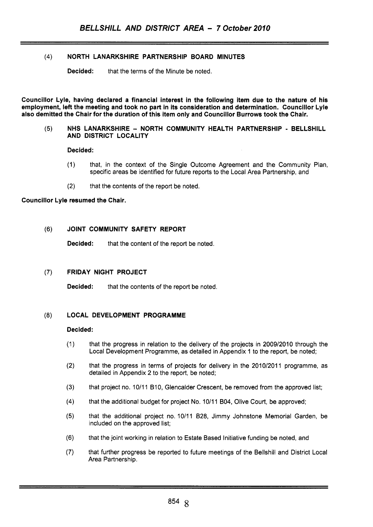## (4) NORTH LANARKSHIRE PARTNERSHIP BOARD MINUTES

**Decided:** that the terms of the Minute be noted.

Councillor Lyle, having declared a financial interest in the following item due to the nature of his employment, left the meeting and took no part in its consideration and determination. Councillor Lyle also demitted the Chair for the duration of this item only and Councillor Burrows took the Chair.

### **(5)** NHS LANARKSHIRE - NORTH COMMUNITY HEALTH PARTNERSHIP - BELLSHILL AND DISTRICT LOCALITY

Decided:

- (1) that, in the context of the Single Outcome Agreement and the Community Plan, specific areas be identified for future reports to the Local Area Partnership, and
- (2) that the contents of the report be noted.

### Councillor Lyle resumed the Chair.

### (6) JOINT COMMUNITY SAFETY REPORT

Decided: that the content of the report be noted.

### (7) FRIDAY NIGHT PROJECT

Decided: that the contents of the report be noted.

### (8) LOCAL DEVELOPMENT PROGRAMME

#### Decided:

- that the progress in relation to the delivery of the projects in 2009/2010 through the  $(1)$ Local Development Programme, as detailed in Appendix 1 to the report, be noted;
- $(2)$ that the progress in terms of projects for delivery in the 2010/2011 programme, as detailed in Appendix 2 to the report, be noted;
- $(3)$ that project no. 10/11 BIO, Glencalder Crescent, be removed from the approved list;
- that the additional budget for project No. 1011 1 804, Olive Court, be approved:  $(4)$
- $(5)$ that the additional project no. 10111 828, Jimmy Johnstone Memorial Garden, be included on the approved list;
- $(6)$ that the joint working in relation to Estate Based Initiative funding be noted, and
- $(7)$ that further progress be reported to future meetings of the Bellshill and District Local Area Partnership.